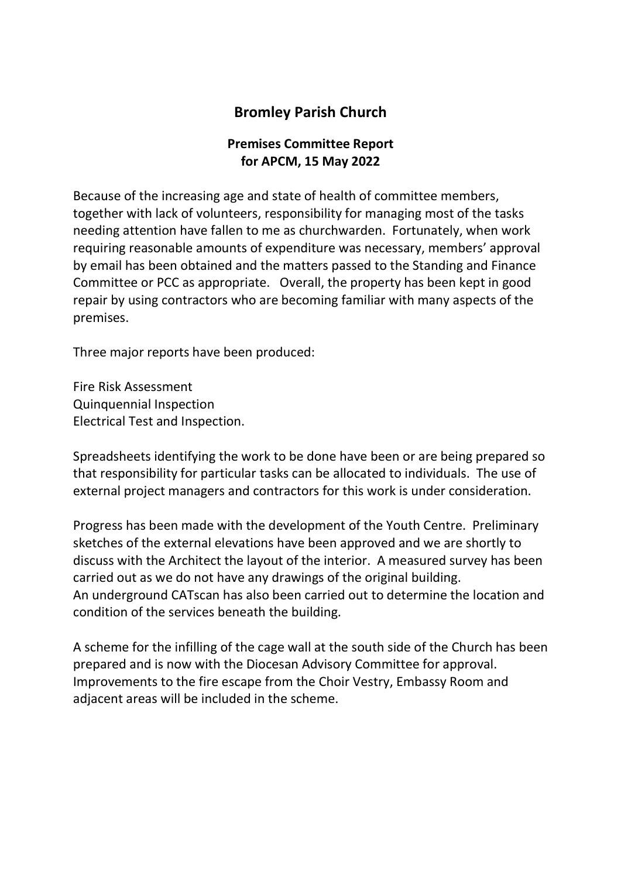## Bromley Parish Church

## Premises Committee Report for APCM, 15 May 2022

Because of the increasing age and state of health of committee members, together with lack of volunteers, responsibility for managing most of the tasks needing attention have fallen to me as churchwarden. Fortunately, when work requiring reasonable amounts of expenditure was necessary, members' approval by email has been obtained and the matters passed to the Standing and Finance Committee or PCC as appropriate. Overall, the property has been kept in good repair by using contractors who are becoming familiar with many aspects of the premises.

Three major reports have been produced:

Fire Risk Assessment Quinquennial Inspection Electrical Test and Inspection.

Spreadsheets identifying the work to be done have been or are being prepared so that responsibility for particular tasks can be allocated to individuals. The use of external project managers and contractors for this work is under consideration.

Progress has been made with the development of the Youth Centre. Preliminary sketches of the external elevations have been approved and we are shortly to discuss with the Architect the layout of the interior. A measured survey has been carried out as we do not have any drawings of the original building. An underground CATscan has also been carried out to determine the location and condition of the services beneath the building.

A scheme for the infilling of the cage wall at the south side of the Church has been prepared and is now with the Diocesan Advisory Committee for approval. Improvements to the fire escape from the Choir Vestry, Embassy Room and adjacent areas will be included in the scheme.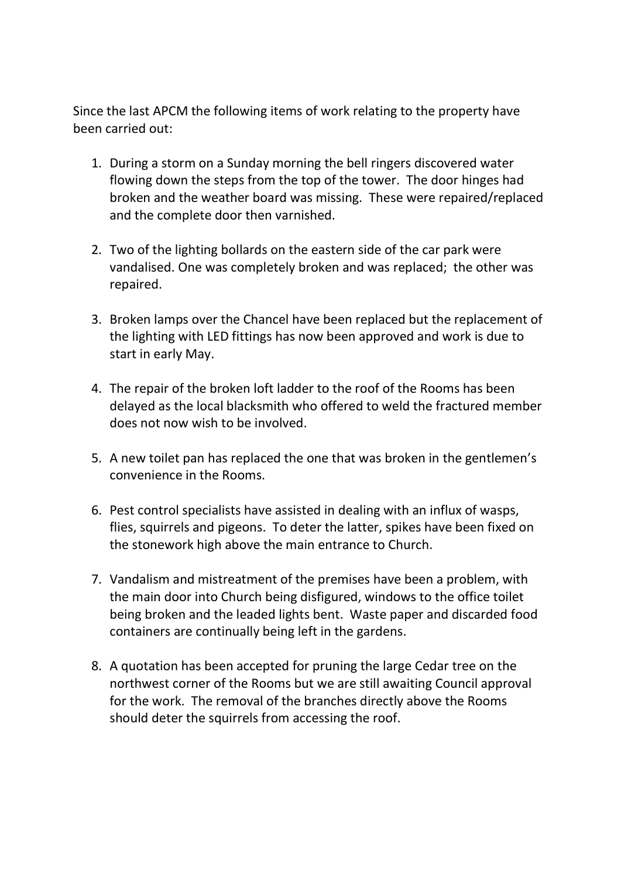Since the last APCM the following items of work relating to the property have been carried out:

- 1. During a storm on a Sunday morning the bell ringers discovered water flowing down the steps from the top of the tower. The door hinges had broken and the weather board was missing. These were repaired/replaced and the complete door then varnished.
- 2. Two of the lighting bollards on the eastern side of the car park were vandalised. One was completely broken and was replaced; the other was repaired.
- 3. Broken lamps over the Chancel have been replaced but the replacement of the lighting with LED fittings has now been approved and work is due to start in early May.
- 4. The repair of the broken loft ladder to the roof of the Rooms has been delayed as the local blacksmith who offered to weld the fractured member does not now wish to be involved.
- 5. A new toilet pan has replaced the one that was broken in the gentlemen's convenience in the Rooms.
- 6. Pest control specialists have assisted in dealing with an influx of wasps, flies, squirrels and pigeons. To deter the latter, spikes have been fixed on the stonework high above the main entrance to Church.
- 7. Vandalism and mistreatment of the premises have been a problem, with the main door into Church being disfigured, windows to the office toilet being broken and the leaded lights bent. Waste paper and discarded food containers are continually being left in the gardens.
- 8. A quotation has been accepted for pruning the large Cedar tree on the northwest corner of the Rooms but we are still awaiting Council approval for the work. The removal of the branches directly above the Rooms should deter the squirrels from accessing the roof.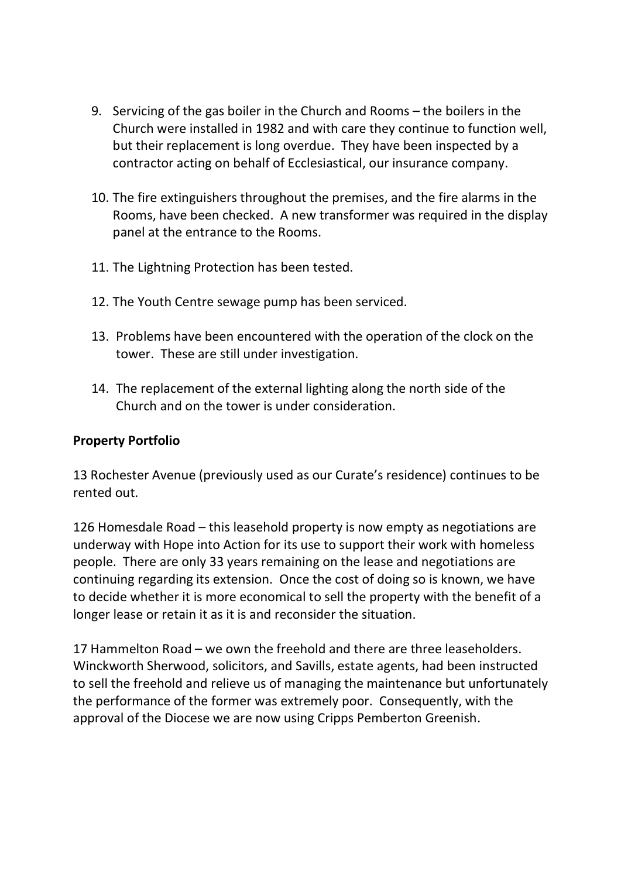- 9. Servicing of the gas boiler in the Church and Rooms the boilers in the Church were installed in 1982 and with care they continue to function well, but their replacement is long overdue. They have been inspected by a contractor acting on behalf of Ecclesiastical, our insurance company.
- 10. The fire extinguishers throughout the premises, and the fire alarms in the Rooms, have been checked. A new transformer was required in the display panel at the entrance to the Rooms.
- 11. The Lightning Protection has been tested.
- 12. The Youth Centre sewage pump has been serviced.
- 13. Problems have been encountered with the operation of the clock on the tower. These are still under investigation.
- 14. The replacement of the external lighting along the north side of the Church and on the tower is under consideration.

## Property Portfolio

13 Rochester Avenue (previously used as our Curate's residence) continues to be rented out.

126 Homesdale Road – this leasehold property is now empty as negotiations are underway with Hope into Action for its use to support their work with homeless people. There are only 33 years remaining on the lease and negotiations are continuing regarding its extension. Once the cost of doing so is known, we have to decide whether it is more economical to sell the property with the benefit of a longer lease or retain it as it is and reconsider the situation.

17 Hammelton Road – we own the freehold and there are three leaseholders. Winckworth Sherwood, solicitors, and Savills, estate agents, had been instructed to sell the freehold and relieve us of managing the maintenance but unfortunately the performance of the former was extremely poor. Consequently, with the approval of the Diocese we are now using Cripps Pemberton Greenish.